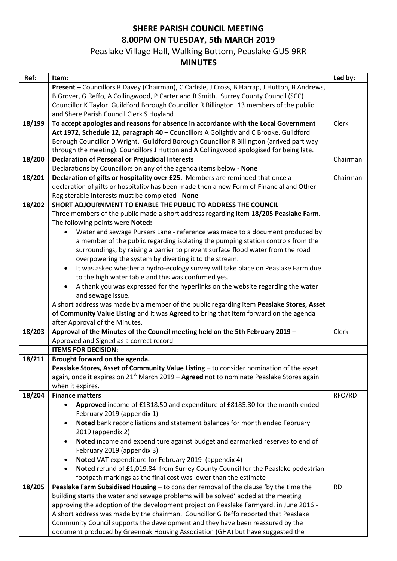## **SHERE PARISH COUNCIL MEETING 8.00PM ON TUESDAY, 5th MARCH 2019**

## Peaslake Village Hall, Walking Bottom, Peaslake GU5 9RR

## **MINUTES**

| Ref:   | Item:                                                                                         | Led by:   |
|--------|-----------------------------------------------------------------------------------------------|-----------|
|        | Present - Councillors R Davey (Chairman), C Carlisle, J Cross, B Harrap, J Hutton, B Andrews, |           |
|        | B Grover, G Reffo, A Collingwood, P Carter and R Smith. Surrey County Council (SCC)           |           |
|        | Councillor K Taylor. Guildford Borough Councillor R Billington. 13 members of the public      |           |
|        | and Shere Parish Council Clerk S Hoyland                                                      |           |
| 18/199 | To accept apologies and reasons for absence in accordance with the Local Government           | Clerk     |
|        | Act 1972, Schedule 12, paragraph 40 - Councillors A Golightly and C Brooke. Guildford         |           |
|        | Borough Councillor D Wright. Guildford Borough Councillor R Billington (arrived part way      |           |
|        | through the meeting). Councillors J Hutton and A Collingwood apologised for being late.       |           |
| 18/200 | <b>Declaration of Personal or Prejudicial Interests</b>                                       | Chairman  |
|        | Declarations by Councillors on any of the agenda items below - None                           |           |
| 18/201 | Declaration of gifts or hospitality over £25. Members are reminded that once a                | Chairman  |
|        | declaration of gifts or hospitality has been made then a new Form of Financial and Other      |           |
|        | Registerable Interests must be completed - None                                               |           |
| 18/202 | SHORT ADJOURNMENT TO ENABLE THE PUBLIC TO ADDRESS THE COUNCIL                                 |           |
|        | Three members of the public made a short address regarding item 18/205 Peaslake Farm.         |           |
|        | The following points were Noted:                                                              |           |
|        | Water and sewage Pursers Lane - reference was made to a document produced by<br>$\bullet$     |           |
|        | a member of the public regarding isolating the pumping station controls from the              |           |
|        | surroundings, by raising a barrier to prevent surface flood water from the road               |           |
|        | overpowering the system by diverting it to the stream.                                        |           |
|        | It was asked whether a hydro-ecology survey will take place on Peaslake Farm due<br>$\bullet$ |           |
|        | to the high water table and this was confirmed yes.                                           |           |
|        | A thank you was expressed for the hyperlinks on the website regarding the water               |           |
|        | and sewage issue.                                                                             |           |
|        | A short address was made by a member of the public regarding item Peaslake Stores, Asset      |           |
|        | of Community Value Listing and it was Agreed to bring that item forward on the agenda         |           |
|        | after Approval of the Minutes.                                                                |           |
| 18/203 | Approval of the Minutes of the Council meeting held on the 5th February 2019 -                | Clerk     |
|        | Approved and Signed as a correct record                                                       |           |
|        | <b>ITEMS FOR DECISION:</b>                                                                    |           |
| 18/211 | Brought forward on the agenda.                                                                |           |
|        | Peaslake Stores, Asset of Community Value Listing - to consider nomination of the asset       |           |
|        | again, once it expires on $21^{st}$ March 2019 – Agreed not to nominate Peaslake Stores again |           |
|        | when it expires.                                                                              |           |
| 18/204 | <b>Finance matters</b>                                                                        | RFO/RD    |
|        | Approved income of £1318.50 and expenditure of £8185.30 for the month ended<br>$\bullet$      |           |
|        | February 2019 (appendix 1)                                                                    |           |
|        | Noted bank reconciliations and statement balances for month ended February                    |           |
|        | 2019 (appendix 2)                                                                             |           |
|        | Noted income and expenditure against budget and earmarked reserves to end of<br>$\bullet$     |           |
|        | February 2019 (appendix 3)                                                                    |           |
|        | Noted VAT expenditure for February 2019 (appendix 4)                                          |           |
|        | Noted refund of £1,019.84 from Surrey County Council for the Peaslake pedestrian<br>$\bullet$ |           |
|        | footpath markings as the final cost was lower than the estimate                               |           |
| 18/205 | Peaslake Farm Subsidised Housing - to consider removal of the clause 'by the time the         | <b>RD</b> |
|        | building starts the water and sewage problems will be solved' added at the meeting            |           |
|        | approving the adoption of the development project on Peaslake Farmyard, in June 2016 -        |           |
|        | A short address was made by the chairman. Councillor G Reffo reported that Peaslake           |           |
|        | Community Council supports the development and they have been reassured by the                |           |
|        | document produced by Greenoak Housing Association (GHA) but have suggested the                |           |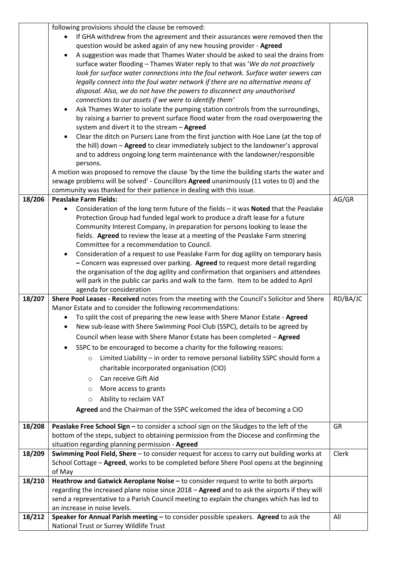|        | following provisions should the clause be removed:                                           |          |
|--------|----------------------------------------------------------------------------------------------|----------|
|        | If GHA withdrew from the agreement and their assurances were removed then the                |          |
|        | question would be asked again of any new housing provider - Agreed                           |          |
|        |                                                                                              |          |
|        | A suggestion was made that Thames Water should be asked to seal the drains from              |          |
|        | surface water flooding - Thames Water reply to that was 'We do not proactively               |          |
|        | look for surface water connections into the foul network. Surface water sewers can           |          |
|        | legally connect into the foul water network if there are no alternative means of             |          |
|        | disposal. Also, we do not have the powers to disconnect any unauthorised                     |          |
|        | connections to our assets if we were to identify them'                                       |          |
|        |                                                                                              |          |
|        | Ask Thames Water to isolate the pumping station controls from the surroundings,<br>$\bullet$ |          |
|        | by raising a barrier to prevent surface flood water from the road overpowering the           |          |
|        | system and divert it to the stream - Agreed                                                  |          |
|        | Clear the ditch on Pursers Lane from the first junction with Hoe Lane (at the top of         |          |
|        | the hill) down - Agreed to clear immediately subject to the landowner's approval             |          |
|        | and to address ongoing long term maintenance with the landowner/responsible                  |          |
|        | persons.                                                                                     |          |
|        | A motion was proposed to remove the clause 'by the time the building starts the water and    |          |
|        |                                                                                              |          |
|        | sewage problems will be solved' - Councillors Agreed unanimously (11 votes to 0) and the     |          |
|        | community was thanked for their patience in dealing with this issue.                         |          |
| 18/206 | <b>Peaslake Farm Fields:</b>                                                                 | AG/GR    |
|        | Consideration of the long term future of the fields - it was Noted that the Peaslake         |          |
|        | Protection Group had funded legal work to produce a draft lease for a future                 |          |
|        | Community Interest Company, in preparation for persons looking to lease the                  |          |
|        | fields. Agreed to review the lease at a meeting of the Peaslake Farm steering                |          |
|        | Committee for a recommendation to Council.                                                   |          |
|        |                                                                                              |          |
|        | Consideration of a request to use Peaslake Farm for dog agility on temporary basis<br>٠      |          |
|        | - Concern was expressed over parking. Agreed to request more detail regarding                |          |
|        | the organisation of the dog agility and confirmation that organisers and attendees           |          |
|        | will park in the public car parks and walk to the farm. Item to be added to April            |          |
|        | agenda for consideration                                                                     |          |
| 18/207 | Shere Pool Leases - Received notes from the meeting with the Council's Solicitor and Shere   | RD/BA/JC |
|        | Manor Estate and to consider the following recommendations:                                  |          |
|        | • To split the cost of preparing the new lease with Shere Manor Estate - Agreed              |          |
|        | New sub-lease with Shere Swimming Pool Club (SSPC), details to be agreed by                  |          |
|        |                                                                                              |          |
|        | Council when lease with Shere Manor Estate has been completed - Agreed                       |          |
|        | SSPC to be encouraged to become a charity for the following reasons:                         |          |
|        | Limited Liability - in order to remove personal liability SSPC should form a<br>$\circ$      |          |
|        | charitable incorporated organisation (CIO)                                                   |          |
|        |                                                                                              |          |
|        | Can receive Gift Aid<br>O                                                                    |          |
|        | More access to grants<br>O                                                                   |          |
|        | Ability to reclaim VAT<br>O                                                                  |          |
|        | Agreed and the Chairman of the SSPC welcomed the idea of becoming a CIO                      |          |
|        |                                                                                              |          |
| 18/208 | Peaslake Free School Sign - to consider a school sign on the Skudges to the left of the      | GR       |
|        | bottom of the steps, subject to obtaining permission from the Diocese and confirming the     |          |
|        |                                                                                              |          |
|        | situation regarding planning permission - Agreed                                             |          |
| 18/209 | Swimming Pool Field, Shere - to consider request for access to carry out building works at   | Clerk    |
|        | School Cottage - Agreed, works to be completed before Shere Pool opens at the beginning      |          |
|        | of May                                                                                       |          |
| 18/210 | Heathrow and Gatwick Aeroplane Noise - to consider request to write to both airports         |          |
|        | regarding the increased plane noise since 2018 - Agreed and to ask the airports if they will |          |
|        | send a representative to a Parish Council meeting to explain the changes which has led to    |          |
|        | an increase in noise levels.                                                                 |          |
| 18/212 | Speaker for Annual Parish meeting - to consider possible speakers. Agreed to ask the         | All      |
|        | National Trust or Surrey Wildlife Trust                                                      |          |
|        |                                                                                              |          |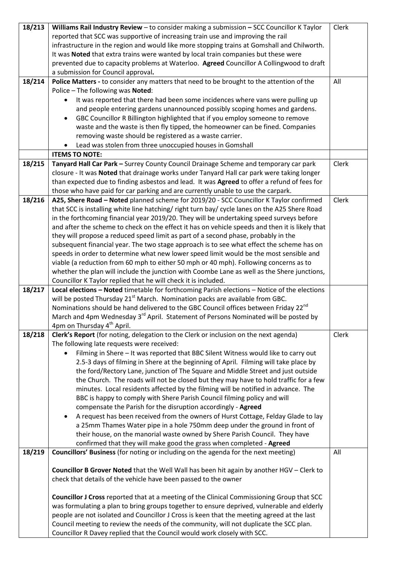| 18/213 | Williams Rail Industry Review - to consider making a submission - SCC Councillor K Taylor                                                                                                | Clerk |
|--------|------------------------------------------------------------------------------------------------------------------------------------------------------------------------------------------|-------|
|        | reported that SCC was supportive of increasing train use and improving the rail                                                                                                          |       |
|        | infrastructure in the region and would like more stopping trains at Gomshall and Chilworth.                                                                                              |       |
|        | It was Noted that extra trains were wanted by local train companies but these were                                                                                                       |       |
|        | prevented due to capacity problems at Waterloo. Agreed Councillor A Collingwood to draft                                                                                                 |       |
|        | a submission for Council approval.                                                                                                                                                       |       |
| 18/214 | Police Matters - to consider any matters that need to be brought to the attention of the                                                                                                 | All   |
|        | Police - The following was Noted:                                                                                                                                                        |       |
|        | It was reported that there had been some incidences where vans were pulling up                                                                                                           |       |
|        | and people entering gardens unannounced possibly scoping homes and gardens.                                                                                                              |       |
|        | GBC Councillor R Billington highlighted that if you employ someone to remove                                                                                                             |       |
|        | waste and the waste is then fly tipped, the homeowner can be fined. Companies                                                                                                            |       |
|        | removing waste should be registered as a waste carrier.                                                                                                                                  |       |
|        | Lead was stolen from three unoccupied houses in Gomshall                                                                                                                                 |       |
|        | <b>ITEMS TO NOTE:</b>                                                                                                                                                                    |       |
| 18/215 | Tanyard Hall Car Park - Surrey County Council Drainage Scheme and temporary car park                                                                                                     | Clerk |
|        | closure - It was Noted that drainage works under Tanyard Hall car park were taking longer                                                                                                |       |
|        | than expected due to finding asbestos and lead. It was Agreed to offer a refund of fees for                                                                                              |       |
|        | those who have paid for car parking and are currently unable to use the carpark.                                                                                                         |       |
| 18/216 | A25, Shere Road - Noted planned scheme for 2019/20 - SCC Councillor K Taylor confirmed                                                                                                   | Clerk |
|        | that SCC is installing white line hatching/right turn bay/cycle lanes on the A25 Shere Road                                                                                              |       |
|        | in the forthcoming financial year 2019/20. They will be undertaking speed surveys before                                                                                                 |       |
|        | and after the scheme to check on the effect it has on vehicle speeds and then it is likely that                                                                                          |       |
|        | they will propose a reduced speed limit as part of a second phase, probably in the                                                                                                       |       |
|        | subsequent financial year. The two stage approach is to see what effect the scheme has on                                                                                                |       |
|        | speeds in order to determine what new lower speed limit would be the most sensible and<br>viable (a reduction from 60 mph to either 50 mph or 40 mph). Following concerns as to          |       |
|        | whether the plan will include the junction with Coombe Lane as well as the Shere junctions,                                                                                              |       |
|        | Councillor K Taylor replied that he will check it is included.                                                                                                                           |       |
| 18/217 | Local elections - Noted timetable for forthcoming Parish elections - Notice of the elections                                                                                             |       |
|        | will be posted Thursday 21 <sup>st</sup> March. Nomination packs are available from GBC.                                                                                                 |       |
|        | Nominations should be hand delivered to the GBC Council offices between Friday 22 <sup>nd</sup>                                                                                          |       |
|        | March and 4pm Wednesday 3 <sup>rd</sup> April. Statement of Persons Nominated will be posted by                                                                                          |       |
|        | 4pm on Thursday 4 <sup>th</sup> April.                                                                                                                                                   |       |
| 18/218 | Clerk's Report (for noting, delegation to the Clerk or inclusion on the next agenda)                                                                                                     | Clerk |
|        | The following late requests were received:                                                                                                                                               |       |
|        | Filming in Shere - It was reported that BBC Silent Witness would like to carry out                                                                                                       |       |
|        | 2.5-3 days of filming in Shere at the beginning of April. Filming will take place by                                                                                                     |       |
|        | the ford/Rectory Lane, junction of The Square and Middle Street and just outside                                                                                                         |       |
|        | the Church. The roads will not be closed but they may have to hold traffic for a few                                                                                                     |       |
|        | minutes. Local residents affected by the filming will be notified in advance. The                                                                                                        |       |
|        | BBC is happy to comply with Shere Parish Council filming policy and will                                                                                                                 |       |
|        | compensate the Parish for the disruption accordingly - Agreed                                                                                                                            |       |
|        | A request has been received from the owners of Hurst Cottage, Felday Glade to lay                                                                                                        |       |
|        | a 25mm Thames Water pipe in a hole 750mm deep under the ground in front of                                                                                                               |       |
|        | their house, on the manorial waste owned by Shere Parish Council. They have                                                                                                              |       |
|        | confirmed that they will make good the grass when completed - Agreed                                                                                                                     |       |
| 18/219 | Councillors' Business (for noting or including on the agenda for the next meeting)                                                                                                       | All   |
|        |                                                                                                                                                                                          |       |
|        | <b>Councillor B Grover Noted</b> that the Well Wall has been hit again by another HGV - Clerk to                                                                                         |       |
|        | check that details of the vehicle have been passed to the owner                                                                                                                          |       |
|        |                                                                                                                                                                                          |       |
|        | Councillor J Cross reported that at a meeting of the Clinical Commissioning Group that SCC                                                                                               |       |
|        | was formulating a plan to bring groups together to ensure deprived, vulnerable and elderly<br>people are not isolated and Councillor J Cross is keen that the meeting agreed at the last |       |
|        | Council meeting to review the needs of the community, will not duplicate the SCC plan.                                                                                                   |       |
|        | Councillor R Davey replied that the Council would work closely with SCC.                                                                                                                 |       |